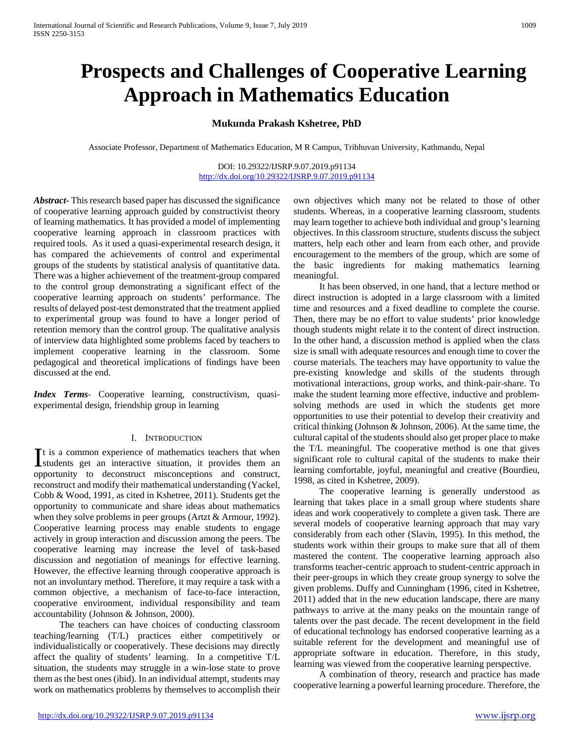# **Prospects and Challenges of Cooperative Learning Approach in Mathematics Education**

# **Mukunda Prakash Kshetree, PhD**

Associate Professor, Department of Mathematics Education, M R Campus, Tribhuvan University, Kathmandu, Nepal

DOI: 10.29322/IJSRP.9.07.2019.p91134 <http://dx.doi.org/10.29322/IJSRP.9.07.2019.p91134>

*Abstract***-** This research based paper has discussed the significance of cooperative learning approach guided by constructivist theory of learning mathematics. It has provided a model of implementing cooperative learning approach in classroom practices with required tools. As it used a quasi-experimental research design, it has compared the achievements of control and experimental groups of the students by statistical analysis of quantitative data. There was a higher achievement of the treatment-group compared to the control group demonstrating a significant effect of the cooperative learning approach on students' performance. The results of delayed post-test demonstrated that the treatment applied to experimental group was found to have a longer period of retention memory than the control group. The qualitative analysis of interview data highlighted some problems faced by teachers to implement cooperative learning in the classroom. Some pedagogical and theoretical implications of findings have been discussed at the end.

*Index Terms*- Cooperative learning, constructivism, quasiexperimental design, friendship group in learning

#### I. INTRODUCTION

t is a common experience of mathematics teachers that when  $\int$ t is a common experience of mathematics teachers that when students get an interactive situation, it provides them an opportunity to deconstruct misconceptions and construct, reconstruct and modify their mathematical understanding (Yackel, Cobb & Wood, 1991, as cited in Kshetree, 2011). Students get the opportunity to communicate and share ideas about mathematics when they solve problems in peer groups (Artzt & Armour, 1992). Cooperative learning process may enable students to engage actively in group interaction and discussion among the peers. The cooperative learning may increase the level of task-based discussion and negotiation of meanings for effective learning. However, the effective learning through cooperative approach is not an involuntary method. Therefore, it may require a task with a common objective, a mechanism of face-to-face interaction, cooperative environment, individual responsibility and team accountability (Johnson & Johnson, 2000).

 The teachers can have choices of conducting classroom teaching/learning (T/L) practices either competitively or individualistically or cooperatively. These decisions may directly affect the quality of students' learning. In a competitive T/L situation, the students may struggle in a win-lose state to prove them as the best ones (ibid). In an individual attempt, students may work on mathematics problems by themselves to accomplish their

own objectives which many not be related to those of other students. Whereas, in a cooperative learning classroom, students may learn together to achieve both individual and group's learning objectives. In this classroom structure, students discuss the subject matters, help each other and learn from each other, and provide encouragement to the members of the group, which are some of the basic ingredients for making mathematics learning meaningful.

 It has been observed, in one hand, that a lecture method or direct instruction is adopted in a large classroom with a limited time and resources and a fixed deadline to complete the course. Then, there may be no effort to value students' prior knowledge though students might relate it to the content of direct instruction. In the other hand, a discussion method is applied when the class size is small with adequate resources and enough time to cover the course materials. The teachers may have opportunity to value the pre-existing knowledge and skills of the students through motivational interactions, group works, and think-pair-share. To make the student learning more effective, inductive and problemsolving methods are used in which the students get more opportunities to use their potential to develop their creativity and critical thinking (Johnson & Johnson, 2006). At the same time, the cultural capital of the students should also get proper place to make the T/L meaningful. The cooperative method is one that gives significant role to cultural capital of the students to make their learning comfortable, joyful, meaningful and creative (Bourdieu, 1998, as cited in Kshetree, 2009).

 The cooperative learning is generally understood as learning that takes place in a small group where students share ideas and work cooperatively to complete a given task. There are several models of cooperative learning approach that may vary considerably from each other (Slavin, 1995). In this method, the students work within their groups to make sure that all of them mastered the content. The cooperative learning approach also transforms teacher-centric approach to student-centric approach in their peer-groups in which they create group synergy to solve the given problems. Duffy and Cunningham (1996, cited in Kshetree, 2011) added that in the new education landscape, there are many pathways to arrive at the many peaks on the mountain range of talents over the past decade. The recent development in the field of educational technology has endorsed cooperative learning as a suitable referent for the development and meaningful use of appropriate software in education. Therefore, in this study, learning was viewed from the cooperative learning perspective.

 A combination of theory, research and practice has made cooperative learning a powerful learning procedure. Therefore, the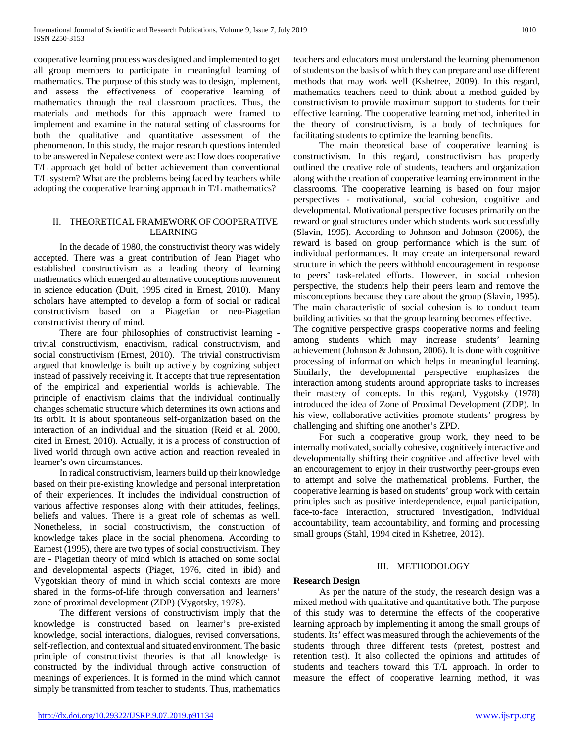cooperative learning process was designed and implemented to get all group members to participate in meaningful learning of mathematics. The purpose of this study was to design, implement, and assess the effectiveness of cooperative learning of mathematics through the real classroom practices. Thus, the materials and methods for this approach were framed to implement and examine in the natural setting of classrooms for both the qualitative and quantitative assessment of the phenomenon. In this study, the major research questions intended to be answered in Nepalese context were as: How does cooperative T/L approach get hold of better achievement than conventional T/L system? What are the problems being faced by teachers while adopting the cooperative learning approach in T/L mathematics?

## II. THEORETICAL FRAMEWORK OF COOPERATIVE LEARNING

 In the decade of 1980, the constructivist theory was widely accepted. There was a great contribution of Jean Piaget who established constructivism as a leading theory of learning mathematics which emerged an alternative conceptions movement in science education (Duit, 1995 cited in Ernest, 2010). Many scholars have attempted to develop a form of social or radical constructivism based on a Piagetian or neo-Piagetian constructivist theory of mind.

 There are four philosophies of constructivist learning trivial constructivism, enactivism, radical constructivism, and social constructivism (Ernest, 2010). The trivial constructivism argued that knowledge is built up actively by cognizing subject instead of passively receiving it. It accepts that true representation of the empirical and experiential worlds is achievable. The principle of enactivism claims that the individual continually changes schematic structure which determines its own actions and its orbit. It is about spontaneous self-organization based on the interaction of an individual and the situation (Reid et al. 2000, cited in Ernest, 2010). Actually, it is a process of construction of lived world through own active action and reaction revealed in learner's own circumstances.

 In radical constructivism, learners build up their knowledge based on their pre-existing knowledge and personal interpretation of their experiences. It includes the individual construction of various affective responses along with their attitudes, feelings, beliefs and values. There is a great role of schemas as well. Nonetheless, in social constructivism, the construction of knowledge takes place in the social phenomena. According to Earnest (1995), there are two types of social constructivism. They are - Piagetian theory of mind which is attached on some social and developmental aspects (Piaget, 1976, cited in ibid) and Vygotskian theory of mind in which social contexts are more shared in the forms-of-life through conversation and learners' zone of proximal development (ZDP) (Vygotsky, 1978).

 The different versions of constructivism imply that the knowledge is constructed based on learner's pre-existed knowledge, social interactions, dialogues, revised conversations, self-reflection, and contextual and situated environment. The basic principle of constructivist theories is that all knowledge is constructed by the individual through active construction of meanings of experiences. It is formed in the mind which cannot simply be transmitted from teacher to students. Thus, mathematics

 The main theoretical base of cooperative learning is constructivism. In this regard, constructivism has properly outlined the creative role of students, teachers and organization along with the creation of cooperative learning environment in the classrooms. The cooperative learning is based on four major perspectives - motivational, social cohesion, cognitive and developmental. Motivational perspective focuses primarily on the reward or goal structures under which students work successfully (Slavin, 1995). According to Johnson and Johnson (2006), the reward is based on group performance which is the sum of individual performances. It may create an interpersonal reward structure in which the peers withhold encouragement in response to peers' task-related efforts. However, in social cohesion perspective, the students help their peers learn and remove the misconceptions because they care about the group (Slavin, 1995). The main characteristic of social cohesion is to conduct team building activities so that the group learning becomes effective.

The cognitive perspective grasps cooperative norms and feeling among students which may increase students' learning achievement (Johnson & Johnson, 2006). It is done with cognitive processing of information which helps in meaningful learning. Similarly, the developmental perspective emphasizes the interaction among students around appropriate tasks to increases their mastery of concepts. In this regard, Vygotsky (1978) introduced the idea of Zone of Proximal Development (ZDP). In his view, collaborative activities promote students' progress by challenging and shifting one another's ZPD.

 For such a cooperative group work, they need to be internally motivated, socially cohesive, cognitively interactive and developmentally shifting their cognitive and affective level with an encouragement to enjoy in their trustworthy peer-groups even to attempt and solve the mathematical problems. Further, the cooperative learning is based on students' group work with certain principles such as positive interdependence, equal participation, face-to-face interaction, structured investigation, individual accountability, team accountability, and forming and processing small groups (Stahl, 1994 cited in Kshetree, 2012).

# III. METHODOLOGY

## **Research Design**

 As per the nature of the study, the research design was a mixed method with qualitative and quantitative both. The purpose of this study was to determine the effects of the cooperative learning approach by implementing it among the small groups of students. Its' effect was measured through the achievements of the students through three different tests (pretest, posttest and retention test). It also collected the opinions and attitudes of students and teachers toward this T/L approach. In order to measure the effect of cooperative learning method, it was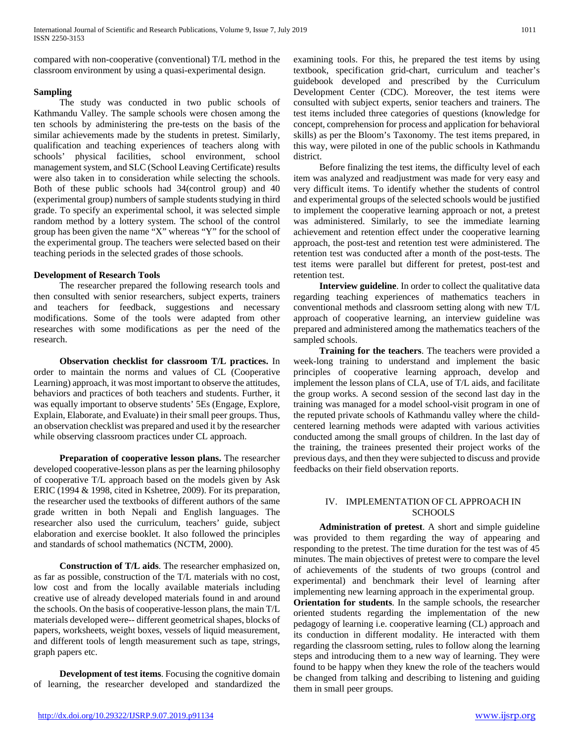compared with non-cooperative (conventional) T/L method in the classroom environment by using a quasi-experimental design.

## **Sampling**

 The study was conducted in two public schools of Kathmandu Valley. The sample schools were chosen among the ten schools by administering the pre-tests on the basis of the similar achievements made by the students in pretest. Similarly, qualification and teaching experiences of teachers along with schools' physical facilities, school environment, school management system, and SLC (School Leaving Certificate) results were also taken in to consideration while selecting the schools. Both of these public schools had 34(control group) and 40 (experimental group) numbers of sample students studying in third grade. To specify an experimental school, it was selected simple random method by a lottery system. The school of the control group has been given the name "X" whereas "Y" for the school of the experimental group. The teachers were selected based on their teaching periods in the selected grades of those schools.

## **Development of Research Tools**

 The researcher prepared the following research tools and then consulted with senior researchers, subject experts, trainers and teachers for feedback, suggestions and necessary modifications. Some of the tools were adapted from other researches with some modifications as per the need of the research.

 **Observation checklist for classroom T/L practices.** In order to maintain the norms and values of CL (Cooperative Learning) approach, it was most important to observe the attitudes, behaviors and practices of both teachers and students. Further, it was equally important to observe students' 5Es (Engage, Explore, Explain, Elaborate, and Evaluate) in their small peer groups. Thus, an observation checklist was prepared and used it by the researcher while observing classroom practices under CL approach.

 **Preparation of cooperative lesson plans.** The researcher developed cooperative-lesson plans as per the learning philosophy of cooperative T/L approach based on the models given by Ask ERIC (1994 & 1998, cited in Kshetree, 2009). For its preparation, the researcher used the textbooks of different authors of the same grade written in both Nepali and English languages. The researcher also used the curriculum, teachers' guide, subject elaboration and exercise booklet. It also followed the principles and standards of school mathematics (NCTM, 2000).

 **Construction of T/L aids**. The researcher emphasized on, as far as possible, construction of the T/L materials with no cost, low cost and from the locally available materials including creative use of already developed materials found in and around the schools. On the basis of cooperative-lesson plans, the main T/L materials developed were-- different geometrical shapes, blocks of papers, worksheets, weight boxes, vessels of liquid measurement, and different tools of length measurement such as tape, strings, graph papers etc.

 **Development of test items**. Focusing the cognitive domain of learning, the researcher developed and standardized the

examining tools. For this, he prepared the test items by using textbook, specification grid-chart, curriculum and teacher's guidebook developed and prescribed by the Curriculum Development Center (CDC). Moreover, the test items were consulted with subject experts, senior teachers and trainers. The test items included three categories of questions (knowledge for concept, comprehension for process and application for behavioral skills) as per the Bloom's Taxonomy. The test items prepared, in this way, were piloted in one of the public schools in Kathmandu district.

 Before finalizing the test items, the difficulty level of each item was analyzed and readjustment was made for very easy and very difficult items. To identify whether the students of control and experimental groups of the selected schools would be justified to implement the cooperative learning approach or not, a pretest was administered. Similarly, to see the immediate learning achievement and retention effect under the cooperative learning approach, the post-test and retention test were administered. The retention test was conducted after a month of the post-tests. The test items were parallel but different for pretest, post-test and retention test.

 **Interview guideline**. In order to collect the qualitative data regarding teaching experiences of mathematics teachers in conventional methods and classroom setting along with new T/L approach of cooperative learning, an interview guideline was prepared and administered among the mathematics teachers of the sampled schools.

 **Training for the teachers**. The teachers were provided a week-long training to understand and implement the basic principles of cooperative learning approach, develop and implement the lesson plans of CLA, use of T/L aids, and facilitate the group works. A second session of the second last day in the training was managed for a model school-visit program in one of the reputed private schools of Kathmandu valley where the childcentered learning methods were adapted with various activities conducted among the small groups of children. In the last day of the training, the trainees presented their project works of the previous days, and then they were subjected to discuss and provide feedbacks on their field observation reports.

## IV. IMPLEMENTATION OF CL APPROACH IN **SCHOOLS**

 **Administration of pretest**. A short and simple guideline was provided to them regarding the way of appearing and responding to the pretest. The time duration for the test was of 45 minutes. The main objectives of pretest were to compare the level of achievements of the students of two groups (control and experimental) and benchmark their level of learning after implementing new learning approach in the experimental group.

**Orientation for students**. In the sample schools, the researcher oriented students regarding the implementation of the new pedagogy of learning i.e. cooperative learning (CL) approach and its conduction in different modality. He interacted with them regarding the classroom setting, rules to follow along the learning steps and introducing them to a new way of learning. They were found to be happy when they knew the role of the teachers would be changed from talking and describing to listening and guiding them in small peer groups.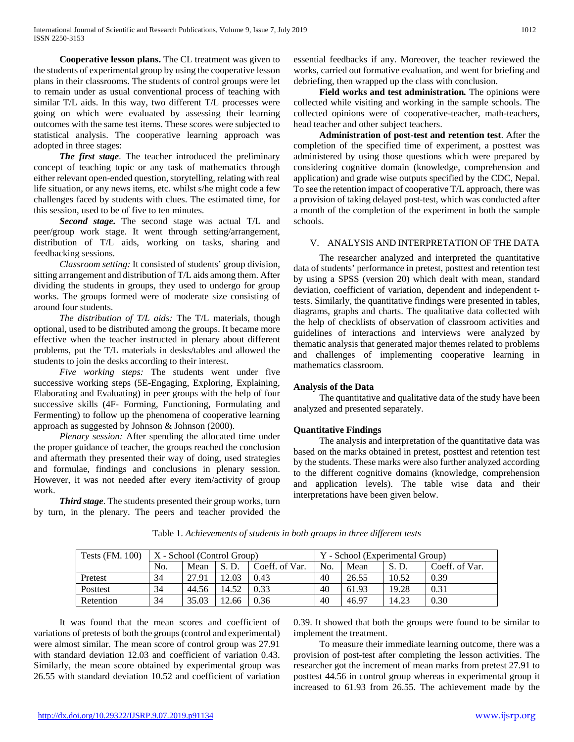**Cooperative lesson plans.** The CL treatment was given to the students of experimental group by using the cooperative lesson plans in their classrooms. The students of control groups were let to remain under as usual conventional process of teaching with similar T/L aids. In this way, two different T/L processes were going on which were evaluated by assessing their learning outcomes with the same test items. These scores were subjected to statistical analysis. The cooperative learning approach was adopted in three stages:

 *The first stage*. The teacher introduced the preliminary concept of teaching topic or any task of mathematics through either relevant open-ended question, storytelling, relating with real life situation, or any news items, etc. whilst s/he might code a few challenges faced by students with clues. The estimated time, for this session, used to be of five to ten minutes.

 *Second stage***.** The second stage was actual T/L and peer/group work stage. It went through setting/arrangement, distribution of T/L aids, working on tasks, sharing and feedbacking sessions.

 *Classroom setting:* It consisted of students' group division, sitting arrangement and distribution of T/L aids among them. After dividing the students in groups, they used to undergo for group works. The groups formed were of moderate size consisting of around four students.

 *The distribution of T/L aids:* The T/L materials, though optional, used to be distributed among the groups. It became more effective when the teacher instructed in plenary about different problems, put the T/L materials in desks/tables and allowed the students to join the desks according to their interest.

 *Five working steps:* The students went under five successive working steps (5E-Engaging, Exploring, Explaining, Elaborating and Evaluating) in peer groups with the help of four successive skills (4F- Forming, Functioning, Formulating and Fermenting) to follow up the phenomena of cooperative learning approach as suggested by Johnson & Johnson (2000).

 *Plenary session:* After spending the allocated time under the proper guidance of teacher, the groups reached the conclusion and aftermath they presented their way of doing, used strategies and formulae, findings and conclusions in plenary session. However, it was not needed after every item/activity of group work.

 *Third stage*. The students presented their group works, turn by turn, in the plenary. The peers and teacher provided the essential feedbacks if any. Moreover, the teacher reviewed the works, carried out formative evaluation, and went for briefing and debriefing, then wrapped up the class with conclusion.

 **Field works and test administration***.* The opinions were collected while visiting and working in the sample schools. The collected opinions were of cooperative-teacher, math-teachers, head teacher and other subject teachers.

 **Administration of post-test and retention test**. After the completion of the specified time of experiment, a posttest was administered by using those questions which were prepared by considering cognitive domain (knowledge, comprehension and application) and grade wise outputs specified by the CDC, Nepal. To see the retention impact of cooperative T/L approach, there was a provision of taking delayed post-test, which was conducted after a month of the completion of the experiment in both the sample schools.

## V. ANALYSIS AND INTERPRETATION OF THE DATA

 The researcher analyzed and interpreted the quantitative data of students' performance in pretest, posttest and retention test by using a SPSS (version 20) which dealt with mean, standard deviation, coefficient of variation, dependent and independent ttests. Similarly, the quantitative findings were presented in tables, diagrams, graphs and charts. The qualitative data collected with the help of checklists of observation of classroom activities and guidelines of interactions and interviews were analyzed by thematic analysis that generated major themes related to problems and challenges of implementing cooperative learning in mathematics classroom.

## **Analysis of the Data**

 The quantitative and qualitative data of the study have been analyzed and presented separately.

# **Quantitative Findings**

 The analysis and interpretation of the quantitative data was based on the marks obtained in pretest, posttest and retention test by the students. These marks were also further analyzed according to the different cognitive domains (knowledge, comprehension and application levels). The table wise data and their interpretations have been given below.

| <b>Tests (FM. 100)</b> | $X$ - School (Control Group) |       |       |                | Y - School (Experimental Group) |       |       |                |
|------------------------|------------------------------|-------|-------|----------------|---------------------------------|-------|-------|----------------|
|                        | No.                          | Mean  | S.D.  | Coeff. of Var. | No.                             | Mean  | S.D.  | Coeff. of Var. |
| Pretest                | 34                           | 27.91 | 12.03 | 0.43           | 40                              | 26.55 | 10.52 | 0.39           |
| Posttest               | 34                           | 44.56 | 14.52 | 0.33           | 40                              | 61.93 | 19.28 | 0.31           |
| Retention              | 34                           | 35.03 | 12.66 | 0.36           | 40                              | 46.97 | 14.23 | 0.30           |

Table 1. *Achievements of students in both groups in three different tests*

 It was found that the mean scores and coefficient of variations of pretests of both the groups (control and experimental) were almost similar. The mean score of control group was 27.91 with standard deviation 12.03 and coefficient of variation 0.43. Similarly, the mean score obtained by experimental group was 26.55 with standard deviation 10.52 and coefficient of variation 0.39. It showed that both the groups were found to be similar to implement the treatment.

 To measure their immediate learning outcome, there was a provision of post-test after completing the lesson activities. The researcher got the increment of mean marks from pretest 27.91 to posttest 44.56 in control group whereas in experimental group it increased to 61.93 from 26.55. The achievement made by the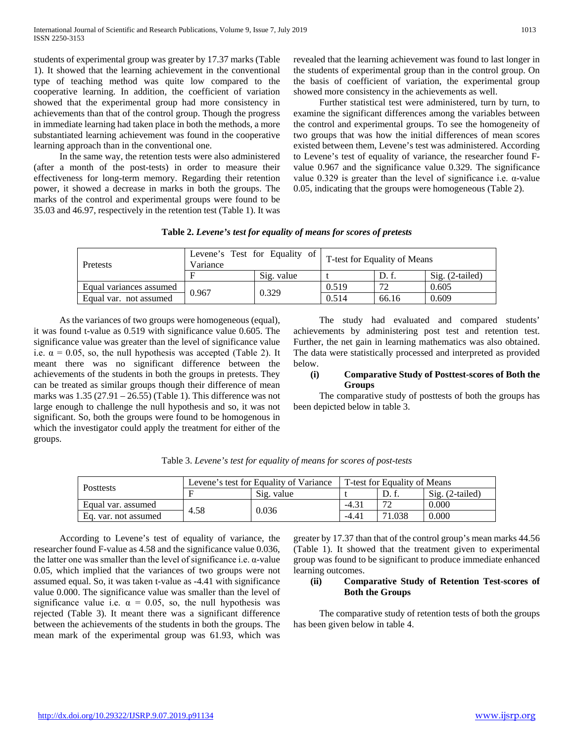students of experimental group was greater by 17.37 marks (Table 1). It showed that the learning achievement in the conventional type of teaching method was quite low compared to the cooperative learning. In addition, the coefficient of variation showed that the experimental group had more consistency in achievements than that of the control group. Though the progress in immediate learning had taken place in both the methods, a more substantiated learning achievement was found in the cooperative learning approach than in the conventional one.

 In the same way, the retention tests were also administered (after a month of the post-tests) in order to measure their effectiveness for long-term memory. Regarding their retention power, it showed a decrease in marks in both the groups. The marks of the control and experimental groups were found to be 35.03 and 46.97, respectively in the retention test (Table 1). It was

revealed that the learning achievement was found to last longer in the students of experimental group than in the control group. On the basis of coefficient of variation, the experimental group showed more consistency in the achievements as well.

 Further statistical test were administered, turn by turn, to examine the significant differences among the variables between the control and experimental groups. To see the homogeneity of two groups that was how the initial differences of mean scores existed between them, Levene's test was administered. According to Levene's test of equality of variance, the researcher found Fvalue 0.967 and the significance value 0.329. The significance value 0.329 is greater than the level of significance i.e. α-value 0.05, indicating that the groups were homogeneous (Table 2).

| Pretests                | Levene's Test for Equality of<br>Variance |            | T-test for Equality of Means |       |                 |
|-------------------------|-------------------------------------------|------------|------------------------------|-------|-----------------|
|                         |                                           | Sig. value |                              | D. f. | Sig. (2-tailed) |
| Equal variances assumed | 0.967                                     | 0.329      | 0.519                        | 72    | 0.605           |
| Equal var. not assumed  |                                           |            | 0.514                        | 66.16 | 0.609           |

 As the variances of two groups were homogeneous (equal), it was found t-value as 0.519 with significance value 0.605. The significance value was greater than the level of significance value i.e.  $\alpha = 0.05$ , so, the null hypothesis was accepted (Table 2). It meant there was no significant difference between the achievements of the students in both the groups in pretests. They can be treated as similar groups though their difference of mean marks was  $1.35$  (27.91 – 26.55) (Table 1). This difference was not large enough to challenge the null hypothesis and so, it was not significant. So, both the groups were found to be homogenous in which the investigator could apply the treatment for either of the groups.

 The study had evaluated and compared students' achievements by administering post test and retention test. Further, the net gain in learning mathematics was also obtained. The data were statistically processed and interpreted as provided below.

## **(i) Comparative Study of Posttest-scores of Both the Groups**

 The comparative study of posttests of both the groups has been depicted below in table 3.

| <b>Posttests</b>     | Levene's test for Equality of Variance | T-test for Equality of Means |                |             |                            |
|----------------------|----------------------------------------|------------------------------|----------------|-------------|----------------------------|
|                      |                                        | Sig. value                   |                |             | $\mathrm{Sig.}$ (2-tailed) |
| Equal var. assumed   | 4.58                                   |                              | $-4.3$         | $7^{\circ}$ | 0.000                      |
| Eq. var. not assumed |                                        | 0.036                        | $-4.4^{\circ}$ | 1.038       | 0.000                      |

Table 3. *Levene's test for equality of means for scores of post-tests*

 According to Levene's test of equality of variance, the researcher found F-value as 4.58 and the significance value 0.036, the latter one was smaller than the level of significance i.e. α-value 0.05, which implied that the variances of two groups were not assumed equal. So, it was taken t-value as -4.41 with significance value 0.000. The significance value was smaller than the level of significance value i.e.  $\alpha = 0.05$ , so, the null hypothesis was rejected (Table 3). It meant there was a significant difference between the achievements of the students in both the groups. The mean mark of the experimental group was 61.93, which was greater by 17.37 than that of the control group's mean marks 44.56 (Table 1). It showed that the treatment given to experimental group was found to be significant to produce immediate enhanced learning outcomes.

## **(ii) Comparative Study of Retention Test-scores of Both the Groups**

 The comparative study of retention tests of both the groups has been given below in table 4.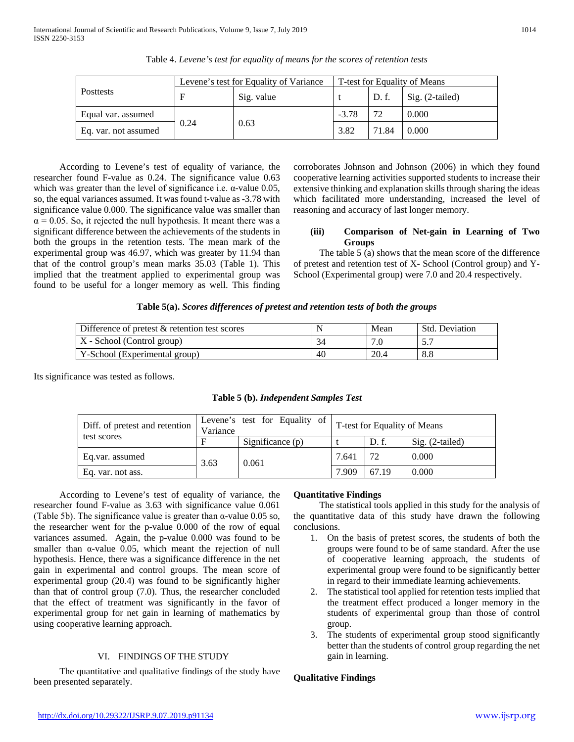|                      | Levene's test for Equality of Variance | T-test for Equality of Means |         |       |                   |
|----------------------|----------------------------------------|------------------------------|---------|-------|-------------------|
| <b>Posttests</b>     |                                        | Sig. value                   |         | D.f.  | $Sig. (2-tailed)$ |
| Equal var. assumed   |                                        |                              | $-3.78$ | 72    | 0.000             |
| Eq. var. not assumed | 0.24                                   | 0.63                         | 3.82    | 71.84 | 0.000             |

Table 4. *Levene's test for equality of means for the scores of retention tests*

 According to Levene's test of equality of variance, the researcher found F-value as 0.24. The significance value 0.63 which was greater than the level of significance i.e.  $\alpha$ -value 0.05, so, the equal variances assumed. It was found t-value as -3.78 with significance value 0.000. The significance value was smaller than  $\alpha$  = 0.05. So, it rejected the null hypothesis. It meant there was a significant difference between the achievements of the students in both the groups in the retention tests. The mean mark of the experimental group was 46.97, which was greater by 11.94 than that of the control group's mean marks 35.03 (Table 1). This implied that the treatment applied to experimental group was found to be useful for a longer memory as well. This finding

corroborates Johnson and Johnson (2006) in which they found cooperative learning activities supported students to increase their extensive thinking and explanation skills through sharing the ideas which facilitated more understanding, increased the level of reasoning and accuracy of last longer memory.

## **(iii) Comparison of Net-gain in Learning of Two Groups**

 The table 5 (a) shows that the mean score of the difference of pretest and retention test of X- School (Control group) and Y-School (Experimental group) were 7.0 and 20.4 respectively.

| Table 5(a). Scores differences of pretest and retention tests of both the groups |  |  |  |
|----------------------------------------------------------------------------------|--|--|--|
|                                                                                  |  |  |  |

| Difference of pretest $&$ retention test scores |    | Mean | Std. Deviation |
|-------------------------------------------------|----|------|----------------|
| $X - School (Control group)$                    |    |      |                |
| Y-School (Experimental group)                   | 40 | 20.4 | 8.8            |

Its significance was tested as follows.

|  |  | Table 5 (b). Independent Samples Test |  |  |
|--|--|---------------------------------------|--|--|
|  |  |                                       |  |  |

| Diff. of pretest and retention | Variance | Levene's test for Equality of | T-test for Equality of Means |       |                   |
|--------------------------------|----------|-------------------------------|------------------------------|-------|-------------------|
| test scores                    |          | Significance $(p)$            |                              | D. f. | $Sig. (2-tailed)$ |
| Eq.var. assumed<br>3.63        |          | 0.061                         | 7.641                        | 72    | 0.000             |
| Eq. var. not ass.              |          |                               | 7.909                        | 67.19 | 0.000             |

 According to Levene's test of equality of variance, the researcher found F-value as 3.63 with significance value 0.061 (Table 5b). The significance value is greater than  $\alpha$ -value 0.05 so, the researcher went for the p-value 0.000 of the row of equal variances assumed. Again, the p-value 0.000 was found to be smaller than α-value 0.05, which meant the rejection of null hypothesis. Hence, there was a significance difference in the net gain in experimental and control groups. The mean score of experimental group (20.4) was found to be significantly higher than that of control group (7.0). Thus, the researcher concluded that the effect of treatment was significantly in the favor of experimental group for net gain in learning of mathematics by using cooperative learning approach.

# VI. FINDINGS OF THE STUDY

 The quantitative and qualitative findings of the study have been presented separately.

# **Quantitative Findings**

 The statistical tools applied in this study for the analysis of the quantitative data of this study have drawn the following conclusions.

- 1. On the basis of pretest scores, the students of both the groups were found to be of same standard. After the use of cooperative learning approach, the students of experimental group were found to be significantly better in regard to their immediate learning achievements.
- 2. The statistical tool applied for retention tests implied that the treatment effect produced a longer memory in the students of experimental group than those of control group.
- 3. The students of experimental group stood significantly better than the students of control group regarding the net gain in learning.

# **Qualitative Findings**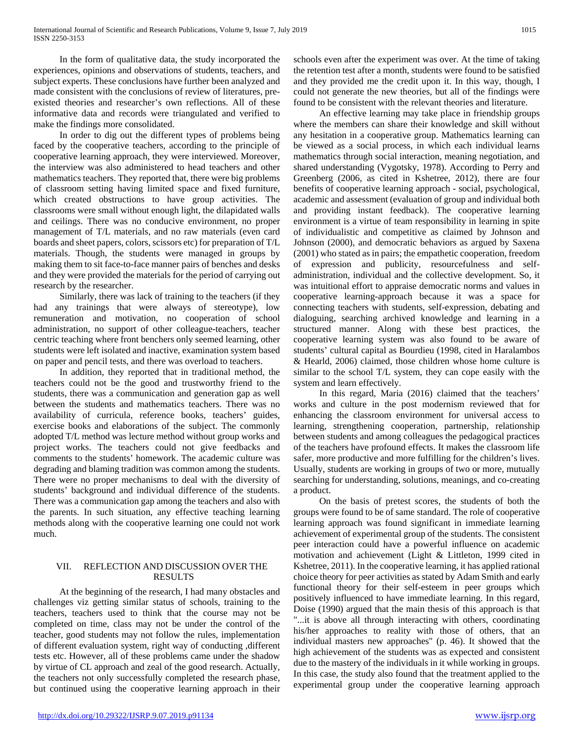In the form of qualitative data, the study incorporated the experiences, opinions and observations of students, teachers, and subject experts. These conclusions have further been analyzed and made consistent with the conclusions of review of literatures, preexisted theories and researcher's own reflections. All of these informative data and records were triangulated and verified to make the findings more consolidated.

 In order to dig out the different types of problems being faced by the cooperative teachers, according to the principle of cooperative learning approach, they were interviewed. Moreover, the interview was also administered to head teachers and other mathematics teachers. They reported that, there were big problems of classroom setting having limited space and fixed furniture, which created obstructions to have group activities. The classrooms were small without enough light, the dilapidated walls and ceilings. There was no conducive environment, no proper management of T/L materials, and no raw materials (even card boards and sheet papers, colors, scissors etc) for preparation of T/L materials. Though, the students were managed in groups by making them to sit face-to-face manner pairs of benches and desks and they were provided the materials for the period of carrying out research by the researcher.

 Similarly, there was lack of training to the teachers (if they had any trainings that were always of stereotype), low remuneration and motivation, no cooperation of school administration, no support of other colleague-teachers, teacher centric teaching where front benchers only seemed learning, other students were left isolated and inactive, examination system based on paper and pencil tests, and there was overload to teachers.

 In addition, they reported that in traditional method, the teachers could not be the good and trustworthy friend to the students, there was a communication and generation gap as well between the students and mathematics teachers. There was no availability of curricula, reference books, teachers' guides, exercise books and elaborations of the subject. The commonly adopted T/L method was lecture method without group works and project works. The teachers could not give feedbacks and comments to the students' homework. The academic culture was degrading and blaming tradition was common among the students. There were no proper mechanisms to deal with the diversity of students' background and individual difference of the students. There was a communication gap among the teachers and also with the parents. In such situation, any effective teaching learning methods along with the cooperative learning one could not work much.

# VII. REFLECTION AND DISCUSSION OVER THE RESULTS

 At the beginning of the research, I had many obstacles and challenges viz getting similar status of schools, training to the teachers, teachers used to think that the course may not be completed on time, class may not be under the control of the teacher, good students may not follow the rules, implementation of different evaluation system, right way of conducting ,different tests etc. However, all of these problems came under the shadow by virtue of CL approach and zeal of the good research. Actually, the teachers not only successfully completed the research phase, but continued using the cooperative learning approach in their

schools even after the experiment was over. At the time of taking the retention test after a month, students were found to be satisfied and they provided me the credit upon it. In this way, though, I could not generate the new theories, but all of the findings were found to be consistent with the relevant theories and literature.

 An effective learning may take place in friendship groups where the members can share their knowledge and skill without any hesitation in a cooperative group. Mathematics learning can be viewed as a social process, in which each individual learns mathematics through social interaction, meaning negotiation, and shared understanding (Vygotsky, 1978). According to Perry and Greenberg (2006, as cited in Kshetree, 2012), there are four benefits of cooperative learning approach - social, psychological, academic and assessment (evaluation of group and individual both and providing instant feedback). The cooperative learning environment is a virtue of team responsibility in learning in spite of individualistic and competitive as claimed by Johnson and Johnson (2000), and democratic behaviors as argued by Saxena (2001) who stated as in pairs; the empathetic cooperation, freedom of expression and publicity, resourcefulness and selfadministration, individual and the collective development. So, it was intuitional effort to appraise democratic norms and values in cooperative learning-approach because it was a space for connecting teachers with students, self-expression, debating and dialoguing, searching archived knowledge and learning in a structured manner. Along with these best practices, the cooperative learning system was also found to be aware of students' cultural capital as Bourdieu (1998, cited in Haralambos & Hearld, 2006) claimed, those children whose home culture is similar to the school T/L system, they can cope easily with the system and learn effectively.

 In this regard, Maria (2016) claimed that the teachers' works and culture in the post modernism reviewed that for enhancing the classroom environment for universal access to learning, strengthening cooperation, partnership, relationship between students and among colleagues the pedagogical practices of the teachers have profound effects. It makes the classroom life safer, more productive and more fulfilling for the children's lives. Usually, students are working in groups of two or more, mutually searching for understanding, solutions, meanings, and co-creating a product.

 On the basis of pretest scores, the students of both the groups were found to be of same standard. The role of cooperative learning approach was found significant in immediate learning achievement of experimental group of the students. The consistent peer interaction could have a powerful influence on academic motivation and achievement (Light & Littleton, 1999 cited in Kshetree, 2011). In the cooperative learning, it has applied rational choice theory for peer activities as stated by Adam Smith and early functional theory for their self-esteem in peer groups which positively influenced to have immediate learning. In this regard, Doise (1990) argued that the main thesis of this approach is that "...it is above all through interacting with others, coordinating his/her approaches to reality with those of others, that an individual masters new approaches" (p. 46). It showed that the high achievement of the students was as expected and consistent due to the mastery of the individuals in it while working in groups. In this case, the study also found that the treatment applied to the experimental group under the cooperative learning approach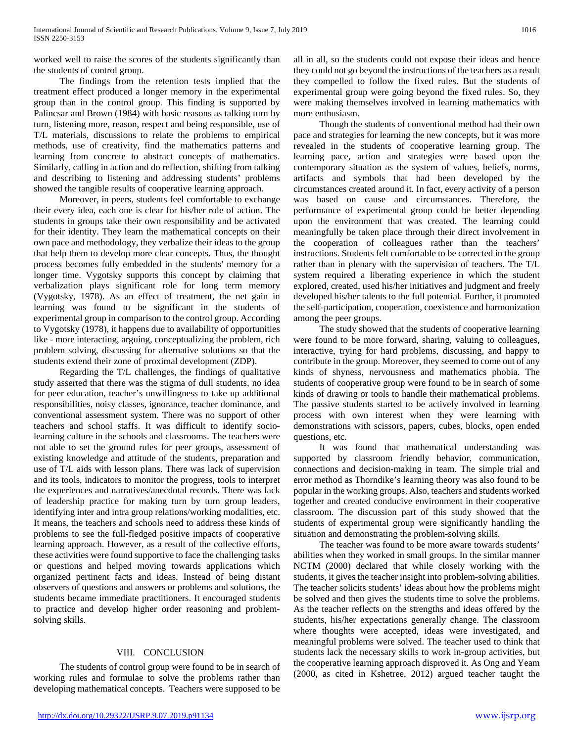worked well to raise the scores of the students significantly than the students of control group.

 The findings from the retention tests implied that the treatment effect produced a longer memory in the experimental group than in the control group. This finding is supported by Palincsar and Brown (1984) with basic reasons as talking turn by turn, listening more, reason, respect and being responsible, use of T/L materials, discussions to relate the problems to empirical methods, use of creativity, find the mathematics patterns and learning from concrete to abstract concepts of mathematics. Similarly, calling in action and do reflection, shifting from talking and describing to listening and addressing students' problems showed the tangible results of cooperative learning approach.

 Moreover, in peers, students feel comfortable to exchange their every idea, each one is clear for his/her role of action. The students in groups take their own responsibility and be activated for their identity. They learn the mathematical concepts on their own pace and methodology, they verbalize their ideas to the group that help them to develop more clear concepts. Thus, the thought process becomes fully embedded in the students' memory for a longer time. Vygotsky supports this concept by claiming that verbalization plays significant role for long term memory (Vygotsky, 1978). As an effect of treatment, the net gain in learning was found to be significant in the students of experimental group in comparison to the control group. According to Vygotsky (1978), it happens due to availability of opportunities like - more interacting, arguing, conceptualizing the problem, rich problem solving, discussing for alternative solutions so that the students extend their zone of proximal development (ZDP).

 Regarding the T/L challenges, the findings of qualitative study asserted that there was the stigma of dull students, no idea for peer education, teacher's unwillingness to take up additional responsibilities, noisy classes, ignorance, teacher dominance, and conventional assessment system. There was no support of other teachers and school staffs. It was difficult to identify sociolearning culture in the schools and classrooms. The teachers were not able to set the ground rules for peer groups, assessment of existing knowledge and attitude of the students, preparation and use of T/L aids with lesson plans. There was lack of supervision and its tools, indicators to monitor the progress, tools to interpret the experiences and narratives/anecdotal records. There was lack of leadership practice for making turn by turn group leaders, identifying inter and intra group relations/working modalities, etc. It means, the teachers and schools need to address these kinds of problems to see the full-fledged positive impacts of cooperative learning approach. However, as a result of the collective efforts, these activities were found supportive to face the challenging tasks or questions and helped moving towards applications which organized pertinent facts and ideas. Instead of being distant observers of questions and answers or problems and solutions, the students became immediate practitioners. It encouraged students to practice and develop higher order reasoning and problemsolving skills.

# VIII. CONCLUSION

 The students of control group were found to be in search of working rules and formulae to solve the problems rather than developing mathematical concepts. Teachers were supposed to be

all in all, so the students could not expose their ideas and hence they could not go beyond the instructions of the teachers as a result they compelled to follow the fixed rules. But the students of experimental group were going beyond the fixed rules. So, they were making themselves involved in learning mathematics with more enthusiasm.

 Though the students of conventional method had their own pace and strategies for learning the new concepts, but it was more revealed in the students of cooperative learning group. The learning pace, action and strategies were based upon the contemporary situation as the system of values, beliefs, norms, artifacts and symbols that had been developed by the circumstances created around it. In fact, every activity of a person was based on cause and circumstances. Therefore, the performance of experimental group could be better depending upon the environment that was created. The learning could meaningfully be taken place through their direct involvement in the cooperation of colleagues rather than the teachers' instructions. Students felt comfortable to be corrected in the group rather than in plenary with the supervision of teachers. The T/L system required a liberating experience in which the student explored, created, used his/her initiatives and judgment and freely developed his/her talents to the full potential. Further, it promoted the self-participation, cooperation, coexistence and harmonization among the peer groups.

 The study showed that the students of cooperative learning were found to be more forward, sharing, valuing to colleagues, interactive, trying for hard problems, discussing, and happy to contribute in the group. Moreover, they seemed to come out of any kinds of shyness, nervousness and mathematics phobia. The students of cooperative group were found to be in search of some kinds of drawing or tools to handle their mathematical problems. The passive students started to be actively involved in learning process with own interest when they were learning with demonstrations with scissors, papers, cubes, blocks, open ended questions, etc.

 It was found that mathematical understanding was supported by classroom friendly behavior, communication, connections and decision-making in team. The simple trial and error method as Thorndike's learning theory was also found to be popular in the working groups. Also, teachers and students worked together and created conducive environment in their cooperative classroom. The discussion part of this study showed that the students of experimental group were significantly handling the situation and demonstrating the problem-solving skills.

 The teacher was found to be more aware towards students' abilities when they worked in small groups. In the similar manner NCTM (2000) declared that while closely working with the students, it gives the teacher insight into problem-solving abilities. The teacher solicits students' ideas about how the problems might be solved and then gives the students time to solve the problems. As the teacher reflects on the strengths and ideas offered by the students, his/her expectations generally change. The classroom where thoughts were accepted, ideas were investigated, and meaningful problems were solved. The teacher used to think that students lack the necessary skills to work in-group activities, but the cooperative learning approach disproved it. As Ong and Yeam (2000, as cited in Kshetree, 2012) argued teacher taught the